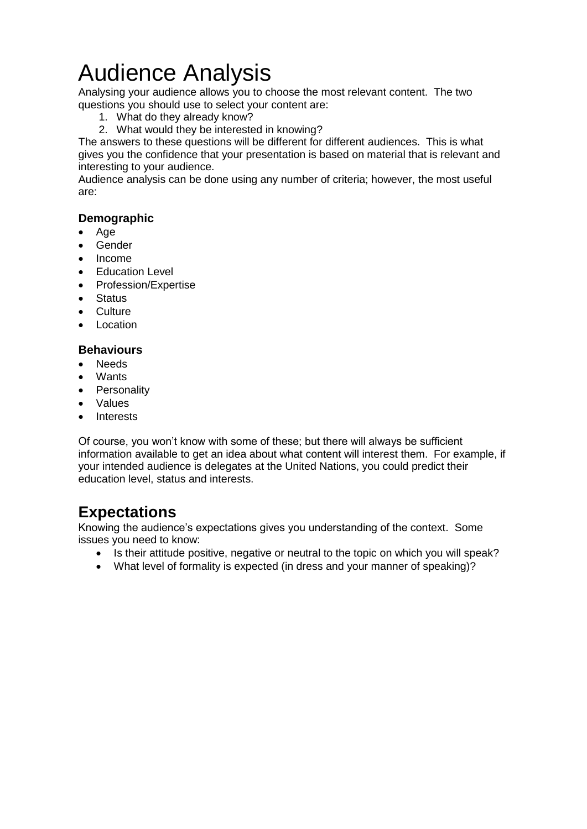# Audience Analysis

Analysing your audience allows you to choose the most relevant content. The two questions you should use to select your content are:

- 1. What do they already know?
- 2. What would they be interested in knowing?

The answers to these questions will be different for different audiences. This is what gives you the confidence that your presentation is based on material that is relevant and interesting to your audience.

Audience analysis can be done using any number of criteria; however, the most useful are:

#### **Demographic**

- Age
- **Gender**
- Income
- **Education Level**
- Profession/Expertise
- Status
- Culture
- Location

#### **Behaviours**

- Needs
- Wants
- **Personality**
- Values
- **Interests**

Of course, you won't know with some of these; but there will always be sufficient information available to get an idea about what content will interest them. For example, if your intended audience is delegates at the United Nations, you could predict their education level, status and interests.

## **Expectations**

Knowing the audience's expectations gives you understanding of the context. Some issues you need to know:

- Is their attitude positive, negative or neutral to the topic on which you will speak?
- What level of formality is expected (in dress and your manner of speaking)?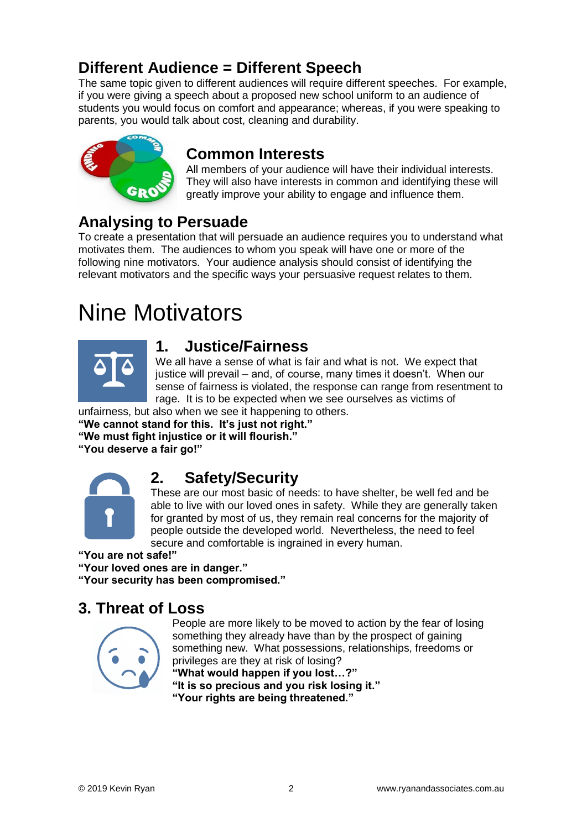# **Different Audience = Different Speech**

The same topic given to different audiences will require different speeches. For example, if you were giving a speech about a proposed new school uniform to an audience of students you would focus on comfort and appearance; whereas, if you were speaking to parents, you would talk about cost, cleaning and durability.



## **Common Interests**

All members of your audience will have their individual interests. They will also have interests in common and identifying these will greatly improve your ability to engage and influence them.

# **Analysing to Persuade**

To create a presentation that will persuade an audience requires you to understand what motivates them. The audiences to whom you speak will have one or more of the following nine motivators. Your audience analysis should consist of identifying the relevant motivators and the specific ways your persuasive request relates to them.

# Nine Motivators



## **1. Justice/Fairness**

We all have a sense of what is fair and what is not. We expect that justice will prevail – and, of course, many times it doesn't. When our sense of fairness is violated, the response can range from resentment to rage. It is to be expected when we see ourselves as victims of

unfairness, but also when we see it happening to others. **"We cannot stand for this. It's just not right." "We must fight injustice or it will flourish."**

**"You deserve a fair go!"**



## **2. Safety/Security**

These are our most basic of needs: to have shelter, be well fed and be able to live with our loved ones in safety. While they are generally taken for granted by most of us, they remain real concerns for the majority of people outside the developed world. Nevertheless, the need to feel secure and comfortable is ingrained in every human.

**"You are not safe!"**

**"Your loved ones are in danger."**

**"Your security has been compromised."**

## **3. Threat of Loss**



People are more likely to be moved to action by the fear of losing something they already have than by the prospect of gaining something new. What possessions, relationships, freedoms or privileges are they at risk of losing? **"What would happen if you lost…?" "It is so precious and you risk losing it."**

**"Your rights are being threatened."**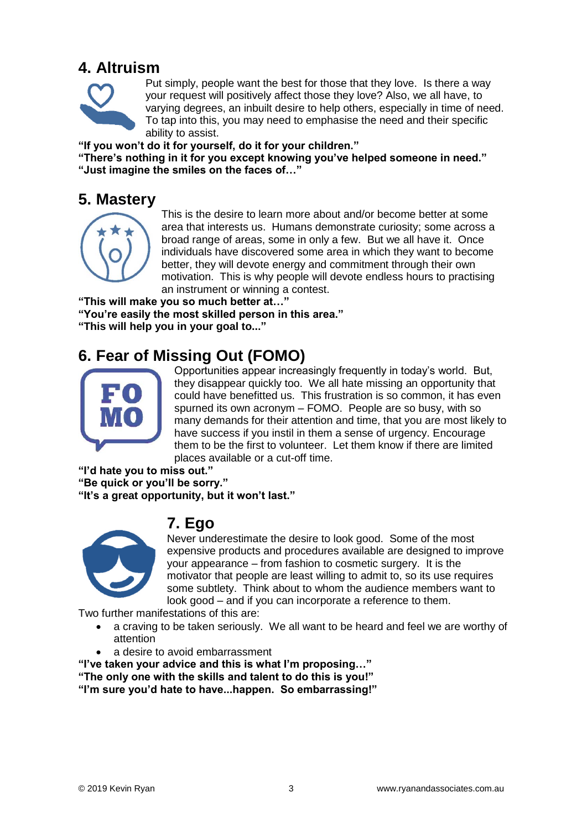## **4. Altruism**



Put simply, people want the best for those that they love. Is there a way your request will positively affect those they love? Also, we all have, to varying degrees, an inbuilt desire to help others, especially in time of need. To tap into this, you may need to emphasise the need and their specific ability to assist.

**"If you won't do it for yourself, do it for your children."**

**"There's nothing in it for you except knowing you've helped someone in need." "Just imagine the smiles on the faces of…"**

## **5. Mastery**



This is the desire to learn more about and/or become better at some area that interests us. Humans demonstrate curiosity; some across a broad range of areas, some in only a few. But we all have it. Once individuals have discovered some area in which they want to become better, they will devote energy and commitment through their own motivation. This is why people will devote endless hours to practising an instrument or winning a contest.

**"This will make you so much better at…" "You're easily the most skilled person in this area." "This will help you in your goal to..."**

## **6. Fear of Missing Out (FOMO)**



Opportunities appear increasingly frequently in today's world. But, they disappear quickly too. We all hate missing an opportunity that could have benefitted us. This frustration is so common, it has even spurned its own acronym – FOMO. People are so busy, with so many demands for their attention and time, that you are most likely to have success if you instil in them a sense of urgency. Encourage them to be the first to volunteer. Let them know if there are limited places available or a cut-off time.

**"I'd hate you to miss out."**

**"Be quick or you'll be sorry."**

**"It's a great opportunity, but it won't last."**



### **7. Ego**

Never underestimate the desire to look good. Some of the most expensive products and procedures available are designed to improve your appearance – from fashion to cosmetic surgery. It is the motivator that people are least willing to admit to, so its use requires some subtlety. Think about to whom the audience members want to look good – and if you can incorporate a reference to them.

Two further manifestations of this are:

- a craving to be taken seriously. We all want to be heard and feel we are worthy of attention
- a desire to avoid embarrassment

**"I've taken your advice and this is what I'm proposing…" "The only one with the skills and talent to do this is you!" "I'm sure you'd hate to have...happen. So embarrassing!"**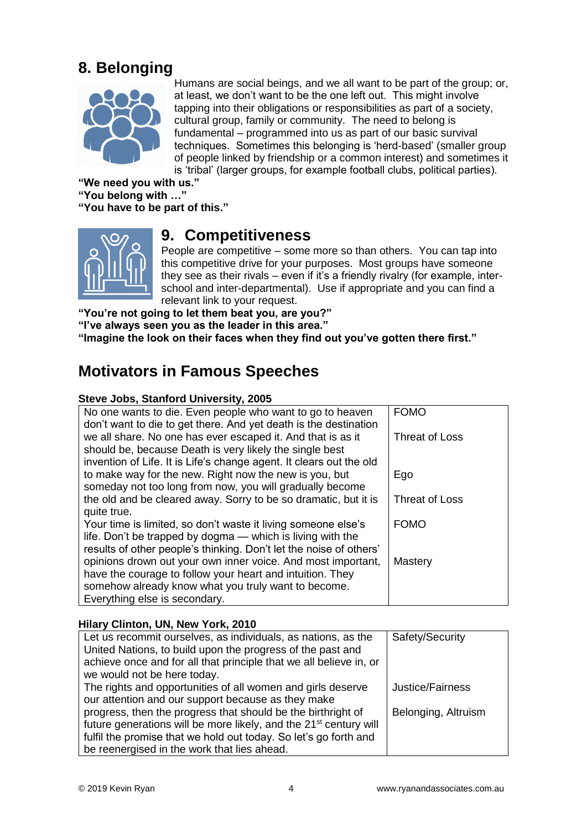## **8. Belonging**



Humans are social beings, and we all want to be part of the group; or, at least, we don't want to be the one left out. This might involve tapping into their obligations or responsibilities as part of a society, cultural group, family or community. The need to belong is fundamental – programmed into us as part of our basic survival techniques. Sometimes this belonging is 'herd-based' (smaller group of people linked by friendship or a common interest) and sometimes it is 'tribal' (larger groups, for example football clubs, political parties).

**"We need you with us." "You belong with …" "You have to be part of this."**



### **9. Competitiveness**

People are competitive – some more so than others. You can tap into this competitive drive for your purposes. Most groups have someone they see as their rivals – even if it's a friendly rivalry (for example, interschool and inter-departmental). Use if appropriate and you can find a relevant link to your request.

**"You're not going to let them beat you, are you?" "I've always seen you as the leader in this area." "Imagine the look on their faces when they find out you've gotten there first."**

## **Motivators in Famous Speeches**

#### **Steve Jobs, Stanford University, 2005**

| No one wants to die. Even people who want to go to heaven           | <b>FOMO</b>    |
|---------------------------------------------------------------------|----------------|
| don't want to die to get there. And yet death is the destination    |                |
| we all share. No one has ever escaped it. And that is as it         | Threat of Loss |
|                                                                     |                |
| should be, because Death is very likely the single best             |                |
| invention of Life. It is Life's change agent. It clears out the old |                |
| to make way for the new. Right now the new is you, but              | Ego            |
| someday not too long from now, you will gradually become            |                |
| the old and be cleared away. Sorry to be so dramatic, but it is     | Threat of Loss |
| quite true.                                                         |                |
| Your time is limited, so don't waste it living someone else's       | <b>FOMO</b>    |
| life. Don't be trapped by dogma — which is living with the          |                |
| results of other people's thinking. Don't let the noise of others'  |                |
| opinions drown out your own inner voice. And most important,        |                |
|                                                                     | Mastery        |
| have the courage to follow your heart and intuition. They           |                |
| somehow already know what you truly want to become.                 |                |
| Everything else is secondary.                                       |                |

#### **Hilary Clinton, UN, New York, 2010**

| Let us recommit ourselves, as individuals, as nations, as the                 | Safety/Security     |
|-------------------------------------------------------------------------------|---------------------|
| United Nations, to build upon the progress of the past and                    |                     |
| achieve once and for all that principle that we all believe in, or            |                     |
| we would not be here today.                                                   |                     |
| The rights and opportunities of all women and girls deserve                   | Justice/Fairness    |
| our attention and our support because as they make                            |                     |
| progress, then the progress that should be the birthright of                  | Belonging, Altruism |
| future generations will be more likely, and the 21 <sup>st</sup> century will |                     |
| fulfil the promise that we hold out today. So let's go forth and              |                     |
| be reenergised in the work that lies ahead.                                   |                     |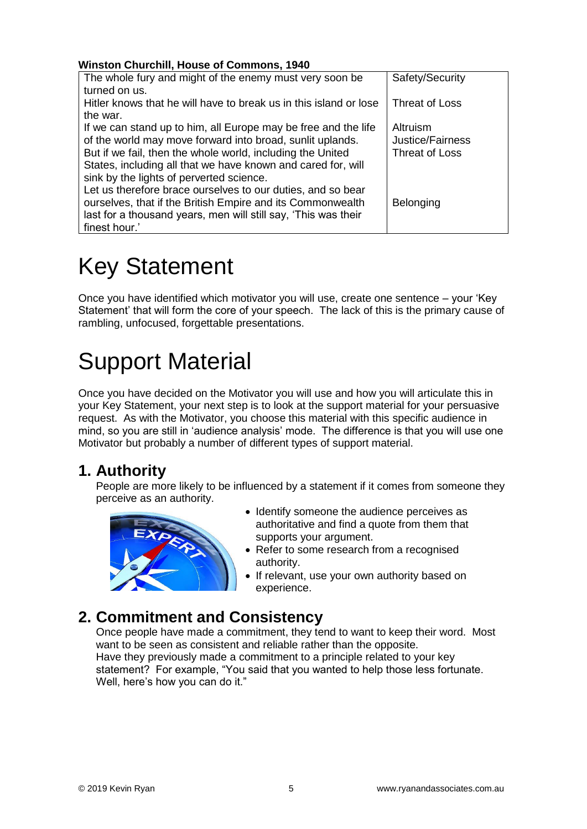#### **Winston Churchill, House of Commons, 1940**

| The whole fury and might of the enemy must very soon be           | Safety/Security  |
|-------------------------------------------------------------------|------------------|
| turned on us.                                                     |                  |
| Hitler knows that he will have to break us in this island or lose | Threat of Loss   |
| the war.                                                          |                  |
| If we can stand up to him, all Europe may be free and the life    | Altruism         |
| of the world may move forward into broad, sunlit uplands.         | Justice/Fairness |
| But if we fail, then the whole world, including the United        | Threat of Loss   |
| States, including all that we have known and cared for, will      |                  |
| sink by the lights of perverted science.                          |                  |
| Let us therefore brace ourselves to our duties, and so bear       |                  |
| ourselves, that if the British Empire and its Commonwealth        | Belonging        |
| last for a thousand years, men will still say, 'This was their    |                  |
| finest hour.'                                                     |                  |

# Key Statement

Once you have identified which motivator you will use, create one sentence – your 'Key Statement' that will form the core of your speech. The lack of this is the primary cause of rambling, unfocused, forgettable presentations.

# Support Material

Once you have decided on the Motivator you will use and how you will articulate this in your Key Statement, your next step is to look at the support material for your persuasive request. As with the Motivator, you choose this material with this specific audience in mind, so you are still in 'audience analysis' mode. The difference is that you will use one Motivator but probably a number of different types of support material.

## **1. Authority**

People are more likely to be influenced by a statement if it comes from someone they perceive as an authority.



- Identify someone the audience perceives as authoritative and find a quote from them that supports your argument.
- Refer to some research from a recognised authority.
- If relevant, use your own authority based on experience.

## **2. Commitment and Consistency**

Once people have made a commitment, they tend to want to keep their word. Most want to be seen as consistent and reliable rather than the opposite. Have they previously made a commitment to a principle related to your key statement? For example, "You said that you wanted to help those less fortunate. Well, here's how you can do it."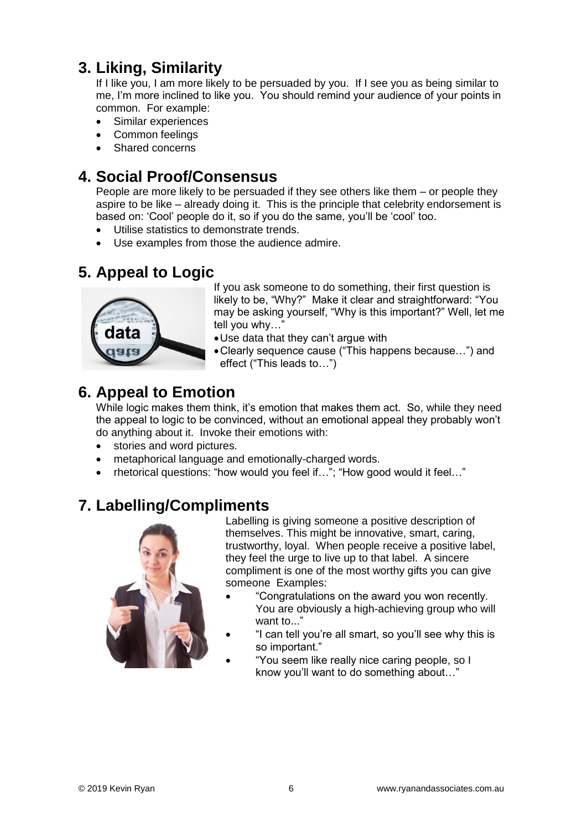## **3. Liking, Similarity**

If I like you, I am more likely to be persuaded by you. If I see you as being similar to me, I'm more inclined to like you. You should remind your audience of your points in common. For example:

- Similar experiences
- Common feelings
- Shared concerns

## **4. Social Proof/Consensus**

People are more likely to be persuaded if they see others like them – or people they aspire to be like – already doing it. This is the principle that celebrity endorsement is based on: 'Cool' people do it, so if you do the same, you'll be 'cool' too.

- Utilise statistics to demonstrate trends.
- Use examples from those the audience admire.

## **5. Appeal to Logic**



If you ask someone to do something, their first question is likely to be, "Why?" Make it clear and straightforward: "You may be asking yourself, "Why is this important?" Well, let me tell you why…"

- •Use data that they can't argue with
- •Clearly sequence cause ("This happens because…") and effect ("This leads to…")

## **6. Appeal to Emotion**

While logic makes them think, it's emotion that makes them act. So, while they need the appeal to logic to be convinced, without an emotional appeal they probably won't do anything about it. Invoke their emotions with:

- stories and word pictures.
- metaphorical language and emotionally-charged words.
- rhetorical questions: "how would you feel if…"; "How good would it feel…"

## **7. Labelling/Compliments**



Labelling is giving someone a positive description of themselves. This might be innovative, smart, caring, trustworthy, loyal. When people receive a positive label, they feel the urge to live up to that label. A sincere compliment is one of the most worthy gifts you can give someone Examples:

- "Congratulations on the award you won recently. You are obviously a high-achieving group who will want to..."
- "I can tell you're all smart, so you'll see why this is so important."
- "You seem like really nice caring people, so I know you'll want to do something about…"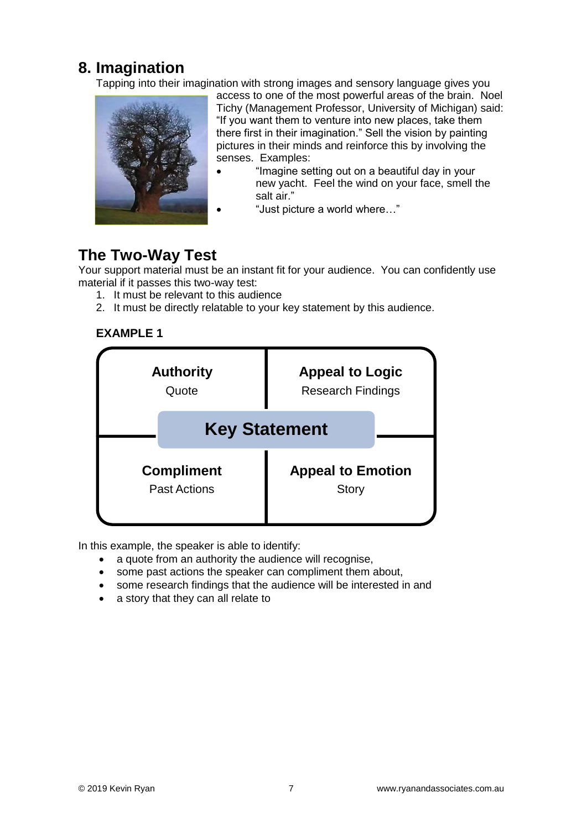## **8. Imagination**

Tapping into their imagination with strong images and sensory language gives you



access to one of the most powerful areas of the brain. Noel Tichy (Management Professor, University of Michigan) said: "If you want them to venture into new places, take them there first in their imagination." Sell the vision by painting pictures in their minds and reinforce this by involving the senses. Examples:

- "Imagine setting out on a beautiful day in your new yacht. Feel the wind on your face, smell the salt air."
	- "Just picture a world where…"

## **The Two-Way Test**

Your support material must be an instant fit for your audience. You can confidently use material if it passes this two-way test:

- 1. It must be relevant to this audience
- 2. It must be directly relatable to your key statement by this audience.





In this example, the speaker is able to identify:

- a quote from an authority the audience will recognise,
- some past actions the speaker can compliment them about,
- some research findings that the audience will be interested in and
- a story that they can all relate to